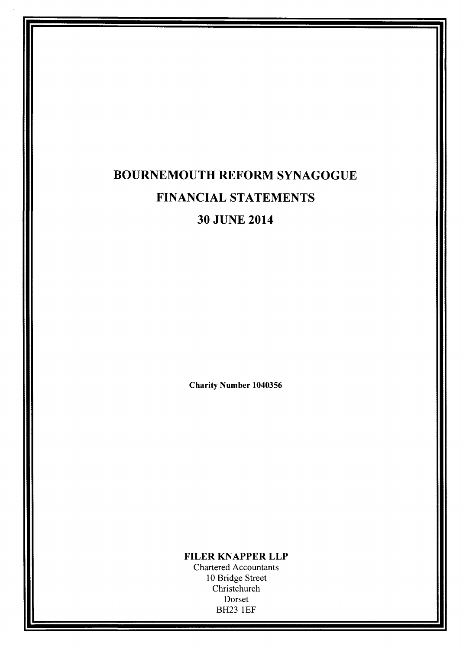# BOURNEMOUTH REFORM SYNAGOGUE FINANCIAL STATEMENTS 30 JUNE 2014

Charity Number 1040356

FILER KNAPPER LLP

Chartered Accountants 10 Bridge Street Christchurch Dorset BH23 1EF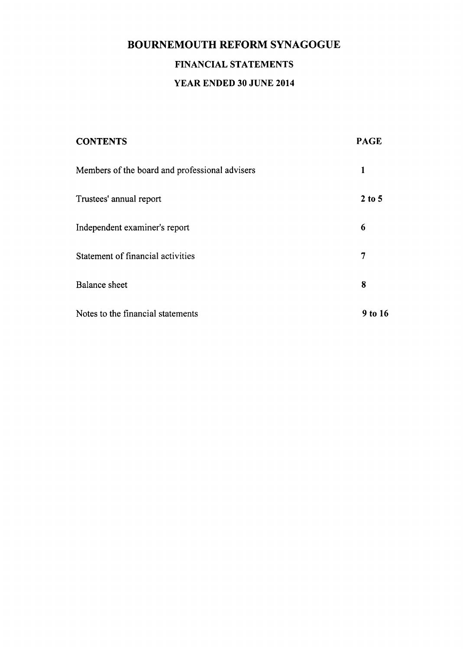# BOURNEMOUTH REFORM SYNAGOGUE FINANCIAL STATEMENTS YEAR ENDED 30 JUNE 2014

| <b>CONTENTS</b>                                | <b>PAGE</b>  |
|------------------------------------------------|--------------|
| Members of the board and professional advisers | $\mathbf{1}$ |
| Trustees' annual report                        | $2$ to 5     |
| Independent examiner's report                  | 6            |
| Statement of financial activities              | 7            |
| <b>Balance</b> sheet                           | 8            |
| Notes to the financial statements              | 9 to 16      |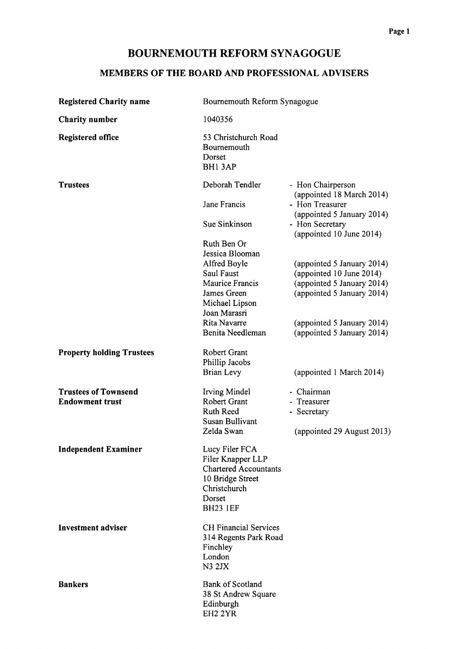## MEMBERS OF THE BOARD AND PROFESSIONAL ADVISERS

| <b>Registered Charity name</b>   | Bournemouth Reform Synagogue                            |                                                                   |  |  |
|----------------------------------|---------------------------------------------------------|-------------------------------------------------------------------|--|--|
| <b>Charity number</b>            | 1040356                                                 |                                                                   |  |  |
| <b>Registered office</b>         | 53 Christchurch Road<br>Bournemouth<br>Dorset<br>BH13AP |                                                                   |  |  |
| <b>Trustees</b>                  | Deborah Tendler<br>Jane Francis                         | - Hon Chairperson<br>(appointed 18 March 2014)<br>- Hon Treasurer |  |  |
|                                  | Sue Sinkinson                                           | (appointed 5 January 2014)<br>- Hon Secretary                     |  |  |
|                                  |                                                         | (appointed 10 June 2014)                                          |  |  |
|                                  | Ruth Ben Or                                             |                                                                   |  |  |
|                                  | Jessica Blooman                                         |                                                                   |  |  |
|                                  | Alfred Boyle<br>Saul Faust                              | (appointed 5 January 2014)<br>(appointed 10 June 2014)            |  |  |
|                                  | Maurice Francis                                         | (appointed 5 January 2014)                                        |  |  |
|                                  | James Green                                             | (appointed 5 January 2014)                                        |  |  |
|                                  | Michael Lipson                                          |                                                                   |  |  |
|                                  | Joan Marasri                                            |                                                                   |  |  |
|                                  | Rita Navarre                                            | (appointed 5 January 2014)                                        |  |  |
|                                  | Benita Needleman                                        | (appointed 5 January 2014)                                        |  |  |
| <b>Property holding Trustees</b> | Robert Grant                                            |                                                                   |  |  |
|                                  | Phillip Jacobs                                          |                                                                   |  |  |
|                                  | <b>Brian Levy</b>                                       | (appointed 1 March 2014)                                          |  |  |
| <b>Trustees of Townsend</b>      | Irving Mindel                                           | - Chairman                                                        |  |  |
| <b>Endowment trust</b>           | Robert Grant                                            | - Treasurer                                                       |  |  |
|                                  | <b>Ruth Reed</b>                                        | - Secretary                                                       |  |  |
|                                  | <b>Susan Bullivant</b>                                  |                                                                   |  |  |
|                                  | Zelda Swan                                              | (appointed 29 August 2013)                                        |  |  |
| <b>Independent Examiner</b>      | Lucy Filer FCA                                          |                                                                   |  |  |
|                                  | Filer Knapper LLP                                       |                                                                   |  |  |
|                                  | <b>Chartered Accountants</b>                            |                                                                   |  |  |
|                                  | 10 Bridge Street<br>Christchurch                        |                                                                   |  |  |
|                                  | Dorset                                                  |                                                                   |  |  |
|                                  | <b>BH23 1EF</b>                                         |                                                                   |  |  |
| <b>Investment adviser</b>        | <b>CH Financial Services</b>                            |                                                                   |  |  |
|                                  | 314 Regents Park Road                                   |                                                                   |  |  |
|                                  | Finchley                                                |                                                                   |  |  |
|                                  | London<br><b>N3 2JX</b>                                 |                                                                   |  |  |
|                                  |                                                         |                                                                   |  |  |
| <b>Bankers</b>                   | <b>Bank of Scotland</b>                                 |                                                                   |  |  |
|                                  | 38 St Andrew Square                                     |                                                                   |  |  |
|                                  | Edinburgh<br>EH <sub>2</sub> 2YR                        |                                                                   |  |  |
|                                  |                                                         |                                                                   |  |  |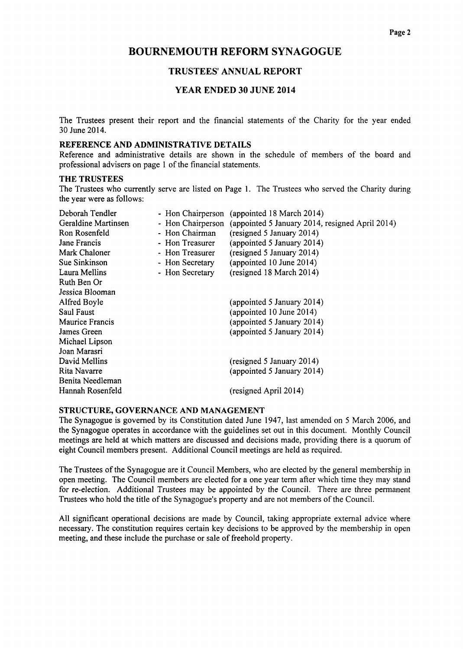### TRUSTEES' ANNUAL REPORT

#### YEAR ENDED 30 JUNE 2014

The Trustees present their report and the financial statements of the Charity for the year ended 30 June 2014.

#### REFERENCE AND ADMINISTRATIVE DETAILS

Reference and administrative details are shown in the schedule of members of the board and professional advisers on page 1 of the financial statements.

#### THE TRUSTEES

The Trustees who currently serve are listed on Page 1. The Trustees who served the Charity during the year were as follows:

| Deborah Tendler     | - Hon Chairperson | (appointed 18 March 2014)                       |
|---------------------|-------------------|-------------------------------------------------|
| Geraldine Martinsen | - Hon Chairperson | (appointed 5 January 2014, resigned April 2014) |
| Ron Rosenfeld       | - Hon Chairman    | (resigned 5 January 2014)                       |
| Jane Francis        | - Hon Treasurer   | (appointed 5 January 2014)                      |
| Mark Chaloner       | - Hon Treasurer   | (resigned 5 January 2014)                       |
| Sue Sinkinson       | - Hon Secretary   | (appointed 10 June 2014)                        |
| Laura Mellins       | - Hon Secretary   | (resigned 18 March 2014)                        |
| Ruth Ben Or         |                   |                                                 |
| Jessica Blooman     |                   |                                                 |
| Alfred Boyle        |                   | (appointed 5 January 2014)                      |
| Saul Faust          |                   | (appointed $10$ June $2014$ )                   |
| Maurice Francis     |                   | (appointed 5 January 2014)                      |
| James Green         |                   | (appointed 5 January 2014)                      |
| Michael Lipson      |                   |                                                 |
| Joan Marasri        |                   |                                                 |
| David Mellins       |                   | (resigned 5 January 2014)                       |
| Rita Navarre        |                   | (appointed 5 January 2014)                      |
| Benita Needleman    |                   |                                                 |
| Hannah Rosenfeld    |                   | (resigned April 2014)                           |
|                     |                   |                                                 |

#### STRUCTURE, GOVERNANCE AND MANAGEMENT

The Synagogue is governed by its Constitution dated June 1947, last amended on 5 March 2006, and the Synagogue operates in accordance with the guidelines set out in this document. Monthly Council meetings are held at which matters are discussed and decisions made, providing there is a quorum of eight Council members present. Additional Council meetings are held as required.

The Trustees ofthe Synagogue are it Council Members, who are elected by the general membership in open meeting. The Council members are elected for a one year term after which time they may stand for re-election. Additional Trustees may be appointed by the Council. There are three permanent Trustees who hold the title of the Synagogue's property and are not members of the Council.

All significant operational decisions are made by Council, taking appropriate external advice where necessary. The constitution requires certain key decisions to be approved by the membership in open meeting, and these include the purchase or sale of freehold property.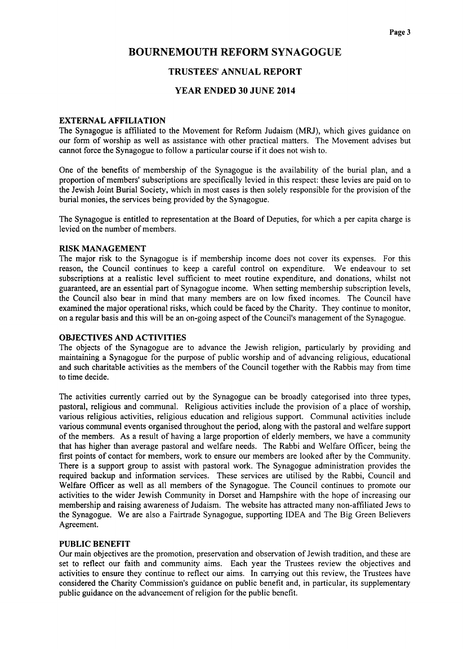### TRUSTEES' ANNUAL REPORT

#### YEAR ENDED 30 JUNE 2014

#### EXTERNAL AFFILIATION

The Synagogue is affiliated to the Movement for Reform Judaism (MRJ), which gives guidance on our form of worship as well as assistance with other practical matters. The Movement advises but cannot force the Synagogue to follow a particular course if it does not wish to.

One of the benefits of membership of the Synagogue is the availability of the burial plan, and a proportion of members' subscriptions are specifically levied in this respect: these levies are paid on to the Jewish Joint Burial Society, which in most cases is then solely responsible for the provision of the burial monies, the services being provided by the Synagogue.

The Synagogue is entitled to representation at the Board of Deputies, for which a per capita charge is levied on the number of members.

#### RISK MANAGEMENT

The major risk to the Synagogue is if membership income does not cover its expenses. For this reason, the Council continues to keep a careful control on expenditure. We endeavour to set subscriptions at a realistic level sufficient to meet routine expenditure, and donations, whilst not guaranteed, are an essential part of Synagogue income. When setting membership subscription levels, the Council also bear in mind that many members are on low fixed incomes. The Council have examined the major operational risks, which could be faced by the Charity. They continue to monitor, on a regular basis and this will be an on-going aspect ofthe Council's management ofthe Synagogue.

#### OBJECTIVES AND ACTIVITIES

The objects of the Synagogue are to advance the Jewish religion, particularly by providing and maintaining a Synagogue for the purpose of public worship and of advancing religious, educational and such charitable activities as the members of the Council together with the Rabbis may from time to time decide,

The activities currently carried out by the Synagogue can be broadly categorised into three types, pastoral, religious and communal. Religious activities include the provision of a place of worship, various religious activities, religious education and religious support. Communal activities include various communal events organised throughout the period, along with the pastoral and welfare support of the members, As a result of having a large proportion of elderly members, we have a community that has higher than average pastoral and welfare needs. The Rabbi and Welfare Officer, being the first points of contact for members, work to ensure our members are looked after by the Community. There is a support group to assist with pastoral work. The Synagogue administration provides the required backup and information services. These services are utilised by the Rabbi, Council and Welfare Officer as well as all members of the Synagogue. The Council continues to promote our activities to the wider Jewish Community in Dorset and Hampshire with the hope of increasing our membership and raising awareness of Judaism. The website has attracted many non-affiliated Jews to the Synagogue. We are also a Fairtrade Synagogue, supporting IDEA and The Big Green Believers Agreement.

#### PUBLIC BENEFIT

Our main objectives are the promotion, preservation and observation of Jewish tradition, and these are set to reflect our faith and community aims. Each year the Trustees review the objectives and activities to ensure they continue to reflect our aims. In carrying out this review, the Trustees have considered the Charity Commission's guidance on public benefit and, in particular, its supplementary public guidance on the advancement of religion for the public benefit.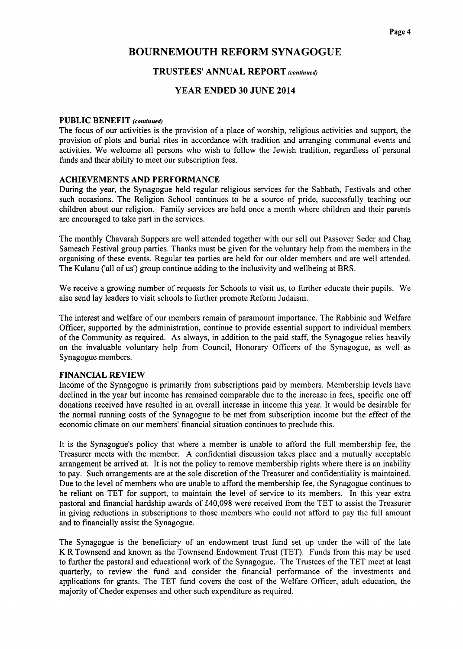#### TRUSTEES' ANNUAL REPORT (continued)

#### YEAR ENDED 30 JUNE 2014

#### PUBLIC BENEFIT (continued)

The focus of our activities is the provision of a place of worship, religious activities and support, the provision of plots and burial rites in accordance with tradition and arranging communal events and activities. We welcome all persons who wish to follow the Jewish tradition, regardless of personal funds and their ability to meet our subscription fees.

#### ACHIEVEMENTS AND PERFORMANCE

During the year, the Synagogue held regular religious services for the Sabbath, Festivals and other such occasions. The Religion School continues to be a source of pride, successfully teaching our children about our religion. Family services are held once a month where children and their parents are encouraged to take part in the services.

The monthly Chavarah Suppers are well attended together with our sell out Passover Seder and Chag Sameach Festival group parties. Thanks must be given for the voluntary help from the members in the organising of these events. Regular tea parties are held for our older members and are well attended. The Kulanu ('all of us') group continue adding to the inclusivity and wellbeing at BRS.

We receive a growing number of requests for Schools to visit us, to further educate their pupils. We also send lay leaders to visit schools to further promote Reform Judaism.

The interest and welfare of our members remain of paramount importance. The Rabbinic and Welfare Officer, supported by the administration, continue to provide essential support to individual members of the Community as required. As always, in addition to the paid staff, the Synagogue relies heavily on the invaluable voluntary help from Council, Honorary Officers of the Synagogue, as well as Synagogue members.

#### FINANCIAL REVIEW

Income of the Synagogue is primarily from subscriptions paid by members. Membership levels have declined in the year but income has remained comparable due to the increase in fees, specific one off donations received have resulted in an overall increase in income this year. It would be desirable for the normal running costs of the Synagogue to be met from subscription income but the effect of the economic climate on our members' financial situation continues to preclude this.

It is the Synagogue's policy that where a member is unable to afford the full membership fee, the Treasurer meets with the member. A confidential discussion takes place and a mutually acceptable arrangement be arrived at. It is not the policy to remove membership rights where there is an inability to pay. Such arrangements are at the sole discretion of the Treasurer and confidentiality is maintained. Due to the level of members who are unable to afford the membership fee, the Synagogue continues to be reliant on TET for support, to maintain the level of service to its members. In this year extra pastoral and financial hardship awards of £40,098 were received from the TET to assist the Treasurer in giving reductions in subscriptions to those members who could not afford to pay the full amount and to financially assist the Synagogue.

The Synagogue is the beneficiary of an endowment trust fund set up under the will of the late K R Townsend and known as the Townsend Endowment Trust (TET). Funds from this may be used to further the pastoral and educational work of the Synagogue. The Trustees of the TET meet at least quarterly, to review the fund and consider the financial performance of the investments and applications for grants. The TET fund covers the cost of the Welfare Officer, adult education, the majority of Cheder expenses and other such expenditure as required.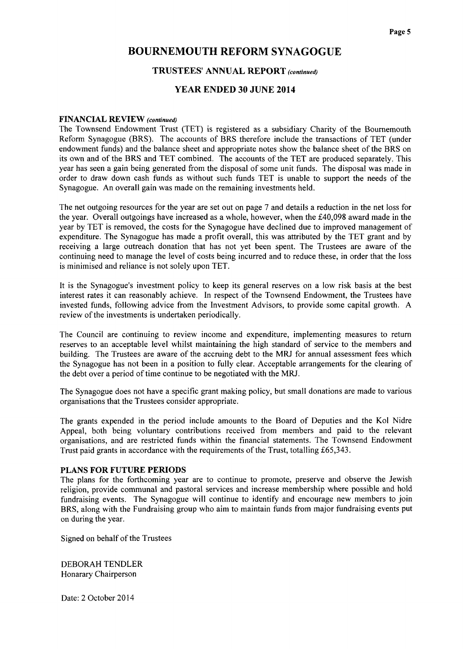#### TRUSTEES' ANNUAL REPORT (continued)

#### YEAR ENDED 30 JUNE 2014

#### FINANCIAL REVIEW (continued)

The Townsend Endowment Trust (TET) is registered as a subsidiary Charity of the Bournemouth Reform Synagogue (BRS). The accounts of BRS therefore include the transactions of TET (under endowment funds) and the balance sheet and appropriate notes show the balance sheet of the BRS on its own and of the BRS and TET combined. The accounts of the TET are produced separately. This year has seen a gain being generated from the disposal of some unit funds. The disposal was made in order to draw down cash funds as without such funds TET is unable to support the needs of the Synagogue. An overall gain was made on the remaining investments held.

The net outgoing resources for the year are set out on page 7 and details a reduction in the net loss for the year. Overall outgoings have increased as a whole, however, when the  $\text{\pounds}40,098$  award made in the year by TET is removed, the costs for the Synagogue have declined due to improved management of expenditure. The Synagogue has made a profit overall, this was attributed by the TET grant and by receiving a large outreach donation that has not yet been spent. The Trustees are aware of the continuing need to manage the level of costs being incurred and to reduce these, in order that the loss is minimised and reliance is not solely upon TET.

It is the Synagogue's investment policy to keep its general reserves on a low risk basis at the best interest rates it can reasonably achieve. In respect of the Townsend Endowment, the Trustees have invested funds, following advice from the Investment Advisors, to provide some capital growth. A review of the investments is undertaken periodically.

The Council are continuing to review income and expenditure, implementing measures to return reserves to an acceptable level whilst maintaining the high standard of service to the members and building. The Trustees are aware of the accruing debt to the MRJ for annual assessment fees which the Synagogue has not been in a position to fully clear. Acceptable arrangements for the clearing of the debt over a period of time continue to be negotiated with the MRJ.

The Synagogue does not have a specific grant making policy, but small donations are made to various organisations that the Trustees consider appropriate.

The grants expended in the period include amounts to the Board of Deputies and the Kol Nidre Appeal, both being voluntary contributions received from members and paid to the relevant organisations, and are restricted funds within the financial statements. The Townsend Endowment Trust paid grants in accordance with the requirements of the Trust, totalling f65,343.

#### PLANS FOR FUTURE PERIODS

The plans for the forthcoming year are to continue to promote, preserve and observe the Jewish religion, provide communal and pastoral services and increase membership where possible and hold fundraising events. The Synagogue will continue to identify and encourage new members to join BRS, along with the Fundraising group who aim to maintain funds from major fundraising events put on during the year.

Signed on behalf of the Trustees

DEBORAH TENDLER Honarary Chairperson

Date: 2 October 2014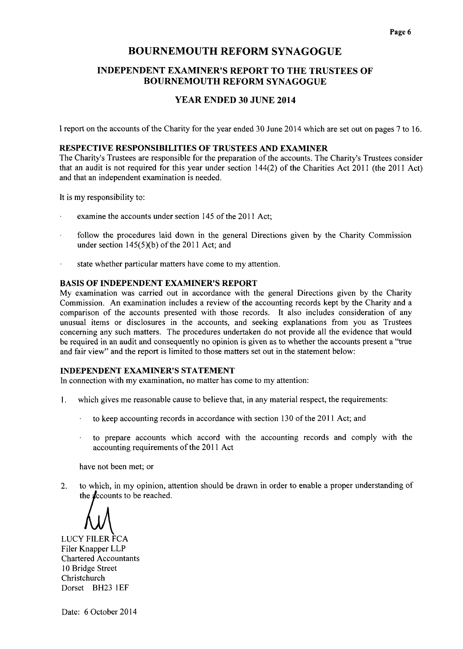## INDEPENDENT EXAMINER'S REPORT TO THE TRUSTEES OF BOURNEMOUTH REFORM SYNAGOGUE

## YEAR ENDED 30 JUNE 2014

I report on the accounts of the Charity for the year ended 30 June 2014 which are set out on pages 7 to 16.

## RESPECTIVE RESPONSIBILITIES OF TRUSTEES AND EXAMINER

The Charity's Trustees are responsible for the preparation of the accounts. The Charity's Trustees consider that an audit is not required for this year under section 144(2) of the Charities Act 2011 (the 2011 Act) and that an independent examination is needed.

It is my responsibility to:

- examine the accounts under section 145 of the 2011 Act;
- follow the procedures laid down in the general Directions given by the Charity Commission under section  $145(5)(b)$  of the 2011 Act; and
- state whether particular matters have come to my attention.

#### BASIS OF INDEPENDENT EXAMINER'S REPORT

My examination was carried out in accordance with the general Directions given by the Charity Commission. An examination includes a review of the accounting records kept by the Charity and a comparison of the accounts presented with those records. It also includes consideration of any unusual items or disclosures in the accounts, and seeking explanations from you as Trustees concerning any such matters. The procedures undertaken do not provide all the evidence that would be required in an audit and consequently no opinion is given as to whether the accounts present a "true and fair view" and the report is limited to those matters set out in the statement below:

#### INDEPENDENT EXAMINER'S STATEMENT

In connection with my examination, no matter has come to my attention:

- 1. which gives me reasonable cause to believe that, in any material respect, the requirements:
	- to keep accounting records in accordance with section 130 of the 2011 Act; and
	- to prepare accounts which accord with the accounting records and comply with the accounting requirements of the 2011 Act

have not been met; or

2. to which, in my opinion, attention should be drawn in order to enable a proper understanding of the  $\boldsymbol{\text{d}}$ ccounts to be reached.

LUCY FILER FCA Filer Knapper LLP Chartered Accountants 10 Bridge Street **Christchurch** Dorset BH23 IEF

Date: 6 October 2014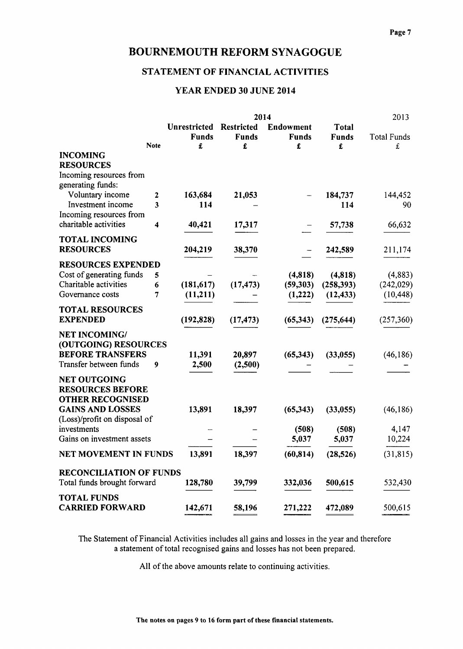## STATEMENT OF FINANCIAL ACTIVITIES

## YEAR ENDED 30 JUNE 2014

|                                              |              |                                          |                                        | 2014                                  |                                   | 2013                    |
|----------------------------------------------|--------------|------------------------------------------|----------------------------------------|---------------------------------------|-----------------------------------|-------------------------|
|                                              | <b>Note</b>  | <b>Unrestricted</b><br><b>Funds</b><br>£ | <b>Restricted</b><br><b>Funds</b><br>£ | <b>Endowment</b><br><b>Funds</b><br>£ | <b>Total</b><br><b>Funds</b><br>£ | <b>Total Funds</b><br>£ |
| <b>INCOMING</b><br><b>RESOURCES</b>          |              |                                          |                                        |                                       |                                   |                         |
| Incoming resources from<br>generating funds: |              |                                          |                                        |                                       |                                   |                         |
| Voluntary income                             | $\mathbf{2}$ | 163,684                                  | 21,053                                 |                                       | 184,737                           | 144,452                 |
| Investment income                            | 3            | 114                                      |                                        |                                       | 114                               | 90                      |
| Incoming resources from                      |              |                                          |                                        |                                       |                                   |                         |
| charitable activities                        | 4            | 40,421                                   | 17,317                                 |                                       | 57,738                            | 66,632                  |
| <b>TOTAL INCOMING</b>                        |              |                                          |                                        |                                       |                                   |                         |
| <b>RESOURCES</b>                             |              | 204,219                                  | 38,370                                 |                                       | 242,589                           | 211,174                 |
| <b>RESOURCES EXPENDED</b>                    |              |                                          |                                        |                                       |                                   |                         |
| Cost of generating funds                     | 5            |                                          |                                        | (4,818)                               | (4,818)                           | (4,883)                 |
| Charitable activities                        | 6            | (181, 617)                               | (17, 473)                              | (59, 303)                             | (258, 393)                        | (242, 029)              |
| Governance costs                             | 7            | (11,211)                                 |                                        | (1,222)                               | (12, 433)                         | (10, 448)               |
| <b>TOTAL RESOURCES</b>                       |              |                                          |                                        |                                       |                                   |                         |
| <b>EXPENDED</b>                              |              | (192, 828)                               | (17, 473)                              | (65, 343)                             | (275, 644)                        | (257, 360)              |
| <b>NET INCOMING/</b>                         |              |                                          |                                        |                                       |                                   |                         |
| (OUTGOING) RESOURCES                         |              |                                          |                                        |                                       |                                   |                         |
| <b>BEFORE TRANSFERS</b>                      |              | 11,391                                   | 20,897                                 | (65,343)                              | (33, 055)                         | (46, 186)               |
| Transfer between funds                       | 9            | 2,500                                    | (2,500)                                |                                       |                                   |                         |
| <b>NET OUTGOING</b>                          |              |                                          |                                        |                                       |                                   |                         |
| <b>RESOURCES BEFORE</b>                      |              |                                          |                                        |                                       |                                   |                         |
| <b>OTHER RECOGNISED</b>                      |              |                                          |                                        |                                       |                                   |                         |
| <b>GAINS AND LOSSES</b>                      |              | 13,891                                   | 18,397                                 | (65,343)                              | (33,055)                          | (46, 186)               |
| (Loss)/profit on disposal of                 |              |                                          |                                        |                                       |                                   |                         |
| investments                                  |              |                                          |                                        | (508)                                 | (508)                             | 4,147                   |
| Gains on investment assets                   |              |                                          |                                        | 5,037                                 | 5,037                             | 10,224                  |
| NET MOVEMENT IN FUNDS                        |              | 13,891                                   | 18,397                                 | (60, 814)                             | (28, 526)                         | (31, 815)               |
| <b>RECONCILIATION OF FUNDS</b>               |              |                                          |                                        |                                       |                                   |                         |
| Total funds brought forward                  |              | 128,780                                  | 39,799                                 | 332,036                               | 500,615                           | 532,430                 |
| <b>TOTAL FUNDS</b>                           |              |                                          |                                        |                                       |                                   |                         |
| <b>CARRIED FORWARD</b>                       |              | 142,671                                  | 58,196                                 | 271,222                               | 472,089                           | 500,615                 |

The Statement of Financial Activities includes all gains and losses in the year and therefore a statement of total recognised gains and losses has not been prepared.

All of the above amounts relate to continuing activities.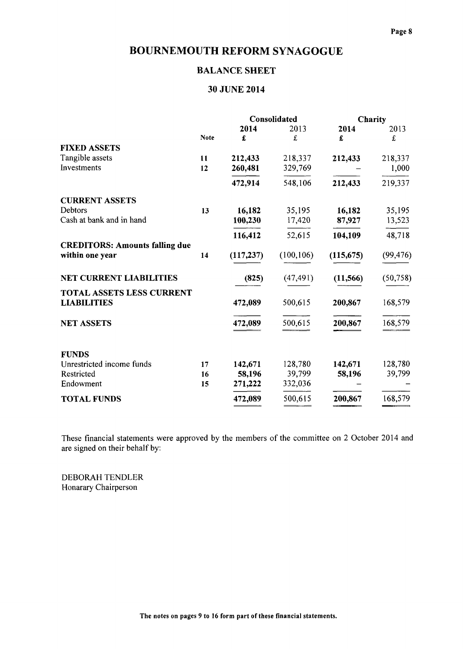## BALANCE SHEET

## 30 JUNE 2014

|                                       |             |            | Consolidated |            | Charity   |
|---------------------------------------|-------------|------------|--------------|------------|-----------|
|                                       |             | 2014       | 2013         | 2014       | 2013      |
|                                       | <b>Note</b> | £          | £            | £          | £         |
| <b>FIXED ASSETS</b>                   |             |            |              |            |           |
| Tangible assets                       | 11          | 212,433    | 218,337      | 212,433    | 218,337   |
| Investments                           | 12          | 260,481    | 329,769      |            | 1,000     |
|                                       |             | 472,914    | 548,106      | 212,433    | 219,337   |
| <b>CURRENT ASSETS</b>                 |             |            |              |            |           |
| Debtors                               | 13          | 16,182     | 35,195       | 16,182     | 35,195    |
| Cash at bank and in hand              |             | 100,230    | 17,420       | 87,927     | 13,523    |
|                                       |             | 116,412    | 52,615       | 104,109    | 48,718    |
| <b>CREDITORS: Amounts falling due</b> |             |            |              |            |           |
| within one year                       | 14          | (117, 237) | (100, 106)   | (115, 675) | (99, 476) |
| <b>NET CURRENT LIABILITIES</b>        |             | (825)      | (47, 491)    | (11, 566)  | (50, 758) |
| <b>TOTAL ASSETS LESS CURRENT</b>      |             |            |              |            |           |
| <b>LIABILITIES</b>                    |             | 472,089    | 500,615      | 200,867    | 168,579   |
| <b>NET ASSETS</b>                     |             | 472,089    | 500,615      | 200,867    | 168,579   |
| <b>FUNDS</b>                          |             |            |              |            |           |
| Unrestricted income funds             | 17          | 142,671    | 128,780      | 142,671    | 128,780   |
| Restricted                            | 16          | 58,196     | 39,799       | 58,196     | 39,799    |
| Endowment                             | 15          | 271,222    | 332,036      |            |           |
| <b>TOTAL FUNDS</b>                    |             | 472,089    | 500,615      | 200,867    | 168,579   |

These financial statements were approved by the members of the committee on 2 October 2014 and are signed on their behalf by:

DEBORAH TENDLER Honarary Chairperson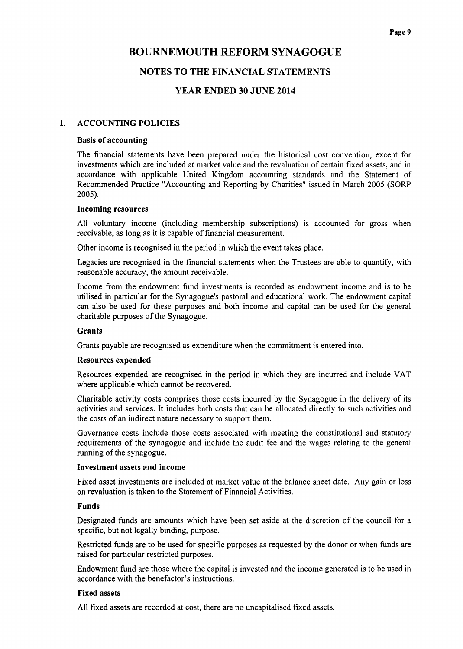## NOTES TO THE FINANCIAL STATEMENTS

## YEAR ENDED 30 JUNE 2014

#### 1. ACCOUNTING POLICIES

#### Basis of accounting

The financial statements have been prepared under the historical cost convention, except for investments which are included at market value and the revaluation of certain fixed assets, and in accordance with applicable United Kingdom accounting standards and the Statement of Recommended Practice "Accounting and Reporting by Charities" issued in March 2005 (SORP 2005).

#### Incoming resources

All voluntary income (including membership subscriptions) is accounted for gross when receivable, as long as it is capable of financial measurement.

Other income is recognised in the period in which the event takes place.

Legacies are recognised in the financial statements when the Trustees are able to quantify, with reasonable accuracy, the amount receivable.

Income from the endowment fund investments is recorded as endowment income and is to be utilised in particular for the Synagogue's pastoral and educational work. The endowment capital can also be used for these purposes and both income and capital can be used for the general charitable purposes of the Synagogue.

#### Grants

Grants payable are recognised as expenditure when the commitment is entered into.

#### Resources expended

Resources expended are recognised in the period in which they are incurred and include VAT where applicable which cannot be recovered.

Charitable activity costs comprises those costs incurred by the Synagogue in the delivery of its activities and services. It includes both costs that can be allocated directly to such activities and the costs of an indirect nature necessary to support them.

Governance costs include those costs associated with meeting the constitutional and statutory requirements of the synagogue and include the audit fee and the wages relating to the general running of the synagogue.

#### Investment assets and income

Fixed asset investments are included at market value at the balance sheet date. Any gain or loss on revaluation is taken to the Statement of Financial Activities.

#### Funds

Designated funds are amounts which have been set aside at the discretion of the council for a specific, but not legally binding, purpose.

Restricted funds are to be used for specific purposes as requested by the donor or when funds are raised for particular restricted purposes.

Endowment fund are those where the capital is invested and the income generated is to be used in accordance with the benefactor's instructions.

#### Fixed assets

All fixed assets are recorded at cost, there are no uncapitalised fixed assets.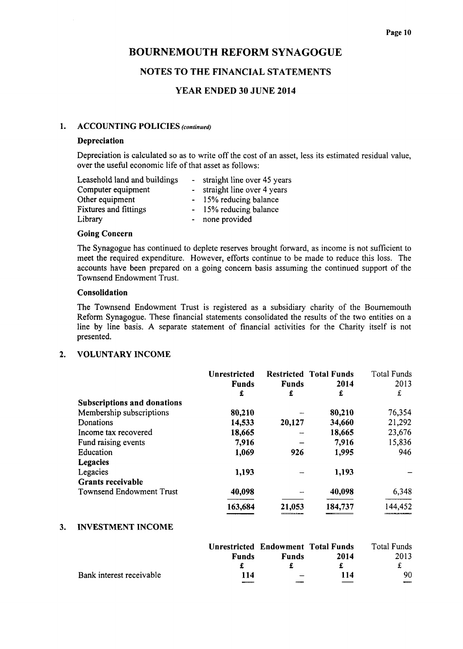## NOTES TO THE FINANCIAL STATEMENTS

## YEAR ENDED 30 JUNE 2014

#### 1. ACCOUNTING POLICIES (continued)

#### Depreciation

Depreciation is calculated so as to write off the cost of an asset, less its estimated residual value, over the useful economic life of that asset as follows:

| Leasehold land and buildings | - straight line over 45 years |
|------------------------------|-------------------------------|
| Computer equipment           | straight line over 4 years    |
| Other equipment              | - 15% reducing balance        |
| <b>Fixtures and fittings</b> | - 15% reducing balance        |
| Library                      | - none provided               |

#### Going Concern

The Synagogue has continued to deplete reserves brought forward, as income is not sufficient to meet the required expenditure. However, efforts continue to be made to reduce this loss. The accounts have been prepared on a going concern basis assuming the continued support of the Townsend Endowment Trust.

#### Consolidation

The Townsend Endowment Trust is registered as a subsidiary charity of the Bournemouth Reform Synagogue. These financial statements consolidated the results of the two entities on a line by line basis. A separate statement of financial activities for the Charity itself is not presented.

#### 2. VOLUNTARY INCOME

|                                    | Unrestricted<br><b>Funds</b> | <b>Funds</b> | <b>Restricted Total Funds</b><br>2014 | <b>Total Funds</b><br>2013 |
|------------------------------------|------------------------------|--------------|---------------------------------------|----------------------------|
|                                    | £                            | £            | £                                     | £                          |
| <b>Subscriptions and donations</b> |                              |              |                                       |                            |
| Membership subscriptions           | 80,210                       |              | 80,210                                | 76,354                     |
| Donations                          | 14,533                       | 20,127       | 34,660                                | 21,292                     |
| Income tax recovered               | 18,665                       |              | 18,665                                | 23,676                     |
| Fund raising events                | 7,916                        |              | 7,916                                 | 15,836                     |
| Education                          | 1,069                        | 926          | 1,995                                 | 946                        |
| <b>Legacies</b>                    |                              |              |                                       |                            |
| Legacies                           | 1,193                        |              | 1,193                                 |                            |
| <b>Grants receivable</b>           |                              |              |                                       |                            |
| <b>Townsend Endowment Trust</b>    | 40,098                       |              | 40,098                                | 6,348                      |
|                                    | 163,684                      | 21,053       | 184,737                               | 144,452                    |

#### 3. INVESTMENT INCOME

|                          | <b>Unrestricted Endowment Total Funds</b> |              |      | Total Funds |
|--------------------------|-------------------------------------------|--------------|------|-------------|
|                          | <b>Funds</b>                              | <b>Funds</b> | 2014 | 2013        |
|                          |                                           |              |      |             |
| Bank interest receivable | 114                                       |              | 114  | 90.         |
|                          | ____                                      |              |      | ---         |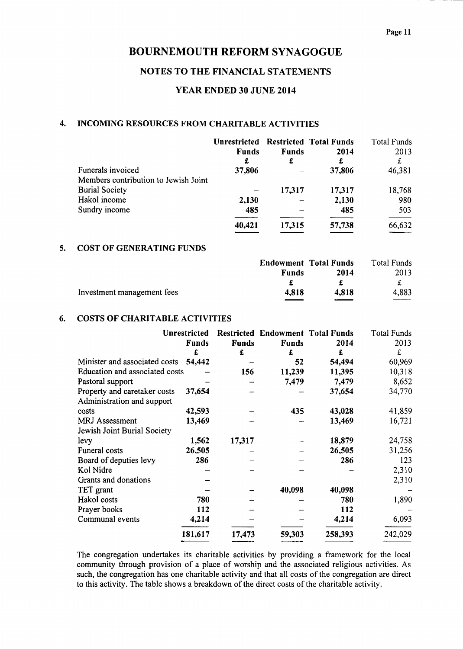#### NOTES TO THE FINANCIAL STATEMENTS

### YEAR ENDED 30 JUNE 2014

## 4. INCOMING RESOURCES FROM CHARITABLE ACTIVITIES

|                                      | <b>Unrestricted</b><br><b>Funds</b> | <b>Funds</b> | <b>Restricted Total Funds</b><br>2014 | <b>Total Funds</b><br>2013 |
|--------------------------------------|-------------------------------------|--------------|---------------------------------------|----------------------------|
|                                      | £                                   | £            | £                                     | £                          |
| Funerals invoiced                    | 37,806                              |              | 37,806                                | 46,381                     |
| Members contribution to Jewish Joint |                                     |              |                                       |                            |
| <b>Burial Society</b>                |                                     | 17,317       | 17,317                                | 18,768                     |
| Hakol income                         | 2,130                               |              | 2,130                                 | 980                        |
| Sundry income                        | 485                                 |              | 485                                   | 503                        |
|                                      | 40,421                              | 17,315       | 57,738                                | 66,632                     |

#### 5. COST OF GENERATING FUNDS

|                            |              | <b>Endowment Total Funds</b> | Total Funds |
|----------------------------|--------------|------------------------------|-------------|
|                            | <b>Funds</b> | 2014                         | 2013        |
|                            |              |                              |             |
| Investment management fees | 4.818        | 4,818                        | 4,883       |
|                            |              |                              | $- - - -$   |

#### 6. COSTS OF CHARITABLE ACTIVITIES

|                                | Unrestricted |              | <b>Restricted Endowment Total Funds</b> |         | <b>Total Funds</b> |
|--------------------------------|--------------|--------------|-----------------------------------------|---------|--------------------|
|                                | <b>Funds</b> | <b>Funds</b> | <b>Funds</b>                            | 2014    | 2013               |
|                                | £            | £            | £                                       | £       | £                  |
| Minister and associated costs  | 54,442       |              | 52                                      | 54,494  | 60,969             |
| Education and associated costs |              | 156          | 11,239                                  | 11,395  | 10,318             |
| Pastoral support               |              |              | 7,479                                   | 7,479   | 8,652              |
| Property and caretaker costs   | 37,654       |              |                                         | 37,654  | 34,770             |
| Administration and support     |              |              |                                         |         |                    |
| costs                          | 42,593       |              | 435                                     | 43,028  | 41,859             |
| <b>MRJ</b> Assessment          | 13,469       |              |                                         | 13,469  | 16,721             |
| Jewish Joint Burial Society    |              |              |                                         |         |                    |
| levy                           | 1,562        | 17,317       |                                         | 18,879  | 24,758             |
| Funeral costs                  | 26,505       |              |                                         | 26,505  | 31,256             |
| Board of deputies levy         | 286          |              |                                         | 286     | 123                |
| Kol Nidre                      |              |              |                                         |         | 2,310              |
| Grants and donations           |              |              |                                         |         | 2,310              |
| TET grant                      |              |              | 40,098                                  | 40,098  |                    |
| Hakol costs                    | 780          |              |                                         | 780     | 1,890              |
| Prayer books                   | 112          |              |                                         | 112     |                    |
| Communal events                | 4,214        |              |                                         | 4,214   | 6,093              |
|                                | 181,617      | 17,473       | 59,303                                  | 258,393 | 242,029            |

The congregation undertakes its charitable activities by providing a framework for the local community through provision of a place of worship and the associated religious activities. As such, the congregation has one charitable activity and that all costs of the congregation are direct to this activity. The table shows a breakdown of the direct costs of the charitable activity.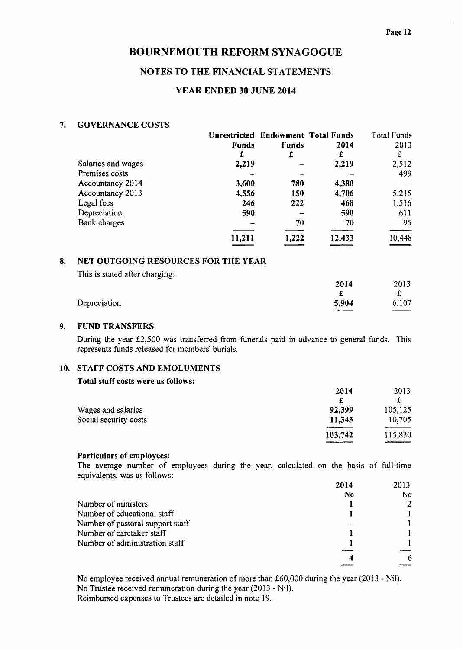## NOTES. TO THE FINANCIAL STATEMENTS

## YEAR ENDED 30 JUNE 2014

#### 7. GOVERNANCE COSTS

|                    |              | Unrestricted Endowment Total Funds |        | Total Funds |
|--------------------|--------------|------------------------------------|--------|-------------|
|                    | <b>Funds</b> | <b>Funds</b>                       | 2014   | 2013        |
|                    | £            | £                                  | £      | £           |
| Salaries and wages | 2,219        |                                    | 2,219  | 2,512       |
| Premises costs     |              |                                    |        | 499         |
| Accountancy 2014   | 3,600        | 780                                | 4,380  |             |
| Accountancy 2013   | 4,556        | 150                                | 4,706  | 5,215       |
| Legal fees         | 246          | 222                                | 468    | 1,516       |
| Depreciation       | 590          |                                    | 590    | 611         |
| Bank charges       |              | 70                                 | 70     | 95          |
|                    | 11,211       | 1,222                              | 12,433 | 10,448      |

## 8. NET OUTGOING RESOURCES FOR THE YEAR

| This is stated after charging: |       |        |
|--------------------------------|-------|--------|
|                                | 2014  | 2013   |
|                                |       |        |
| Depreciation                   | 5,904 | 6.107  |
|                                |       | ______ |

#### 9. FUND TRANSFERS

During the year £2,500 was transferred from funerals paid in advance to general funds. This represents funds released for members' burials.

#### 10. STAFF COSTS AND EMOLUMENTS

#### Total staff costs were as follows:

|                       | 2014          | 2013                  |
|-----------------------|---------------|-----------------------|
|                       |               |                       |
| Wages and salaries    | 92,399        | 105,125               |
| Social security costs | 11,343        | 10,705                |
|                       | 103,742       | 115,830               |
|                       | _____________ | <b>ACCOMMENDATION</b> |

### Particulars of employees:

The average number of employees during the year, calculated on the basis of full-tim equivalents, was as follows:

|                                  | 2014 | 2013 |
|----------------------------------|------|------|
|                                  | No   | No.  |
| Number of ministers              |      | 2    |
| Number of educational staff      |      |      |
| Number of pastoral support staff |      |      |
| Number of caretaker staff        |      |      |
| Number of administration staff   |      |      |
|                                  |      | -6   |

No employee received annual remuneration of more than £60,000 during the year (2013 - Nil). No Trustee received remuneration during the year (2013 - Nil). Reimbursed expenses to Trustees are detailed in note 19.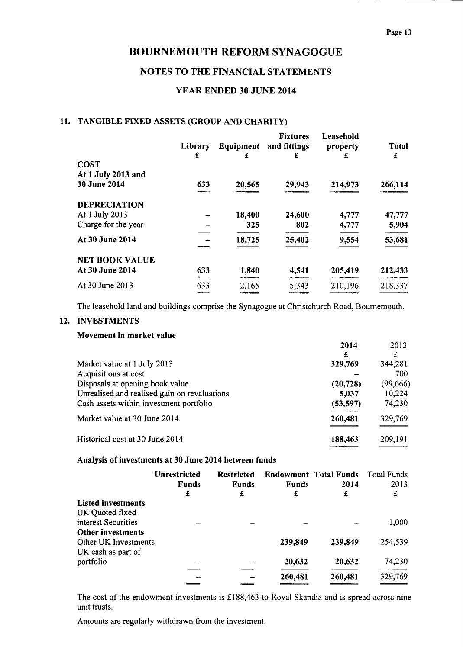## NOTES TO THE FINANCIAL STATEMENTS

## YEAR ENDED 30 JUNE 2014

## 11. TANGIBLE FIXED ASSETS (GROUP AND CHARITY)

|                       | Library<br>£ | Equipment<br>£ | <b>Fixtures</b><br>and fittings<br>£ | Leasehold<br>property<br>£ | Total<br>£ |
|-----------------------|--------------|----------------|--------------------------------------|----------------------------|------------|
| <b>COST</b>           |              |                |                                      |                            |            |
| At 1 July 2013 and    |              |                |                                      |                            |            |
| <b>30 June 2014</b>   | 633          | 20,565         | 29,943                               | 214,973                    | 266,114    |
| <b>DEPRECIATION</b>   |              |                |                                      |                            |            |
| At 1 July 2013        |              | 18,400         | 24,600                               | 4,777                      | 47,777     |
| Charge for the year   |              | 325            | 802                                  | 4,777                      | 5,904      |
| At 30 June 2014       |              | 18,725         | 25,402                               | 9,554                      | 53,681     |
| <b>NET BOOK VALUE</b> |              |                |                                      |                            |            |
| At 30 June 2014       | 633          | 1,840          | 4,541                                | 205,419                    | 212,433    |
| At 30 June 2013       | 633<br>----  | 2,165          | 5,343                                | 210,196                    | 218,337    |

The leasehold land and buildings comprise the Synagogue at Christchurch Road, Bournemouth.

#### 12. INVESTMENTS

#### Movement in market value

| 2014      | 2013      |
|-----------|-----------|
| £         | £         |
| 329,769   | 344,281   |
|           | 700       |
| (20, 728) | (99, 666) |
| 5,037     | 10,224    |
| (53, 597) | 74,230    |
| 260,481   | 329,769   |
| 188,463   | 209,191   |
|           |           |

#### Analysis of investments at 30 June 2014 between funds

|                           | <b>Unrestricted</b><br><b>Funds</b><br>£ | <b>Restricted</b><br><b>Funds</b><br>£ | <b>Funds</b><br>£      | <b>Endowment Total Funds</b><br>2014<br>£ | <b>Total Funds</b><br>2013<br>£ |
|---------------------------|------------------------------------------|----------------------------------------|------------------------|-------------------------------------------|---------------------------------|
| <b>Listed investments</b> |                                          |                                        |                        |                                           |                                 |
| UK Quoted fixed           |                                          |                                        |                        |                                           |                                 |
| interest Securities       |                                          |                                        |                        |                                           | 1,000                           |
| <b>Other investments</b>  |                                          |                                        |                        |                                           |                                 |
| Other UK Investments      |                                          |                                        | 239,849                | 239,849                                   | 254,539                         |
| UK cash as part of        |                                          |                                        |                        |                                           |                                 |
| portfolio                 |                                          |                                        | 20,632                 | 20,632                                    | 74,230                          |
|                           |                                          |                                        |                        |                                           |                                 |
|                           |                                          |                                        | 260,481<br>___________ | 260,481                                   | 329,769                         |

The cost of the endowment investments is £188,463 to Royal Skandia and is spread across nine unit trusts.

Amounts are regularly withdrawn from the investment.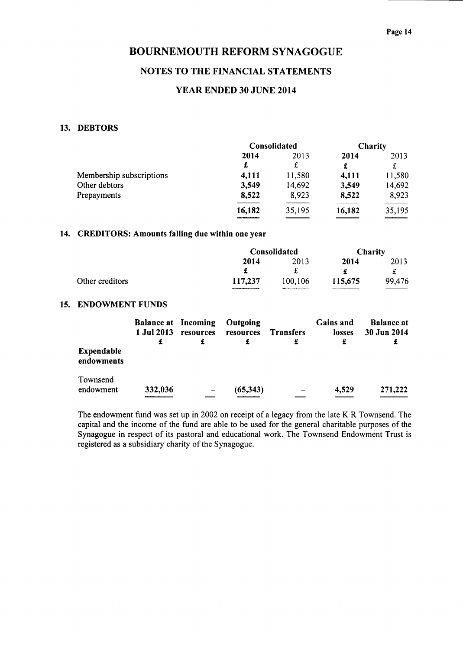## NOTES TO THE FINANCIAL STATEMENTS

## YEAR ENDED 30 JUNE 2014

#### 13. DEBTORS

|                          | Consolidated |        | Charity |        |
|--------------------------|--------------|--------|---------|--------|
|                          | 2014         | 2013   | 2014    | 2013   |
|                          | £            | £      | £       | £      |
| Membership subscriptions | 4,111        | 11,580 | 4,111   | 11,580 |
| Other debtors            | 3,549        | 14,692 | 3,549   | 14,692 |
| Prepayments              | 8,522        | 8,923  | 8,522   | 8,923  |
|                          | 16,182       | 35,195 | 16,182  | 35,195 |

#### 14. CREDITORS: Amounts falling due within one year

|                 |         | Consolidated |         | Charity |  |
|-----------------|---------|--------------|---------|---------|--|
|                 | 2014    | 2013         | 2014    | 2013    |  |
|                 |         |              |         |         |  |
| Other creditors | 117,237 | 100,106      | 115,675 | 99,476  |  |

#### 15, ENDOWMENT FUNDS

|                                 | <b>Balance at Incoming</b><br>1 Jul 2013<br>£ | resources | Outgoing<br>resources | <b>Transfers</b><br>£ | <b>Gains and</b><br>losses<br>£ | <b>Balance at</b><br>30 Jun 2014<br>£ |
|---------------------------------|-----------------------------------------------|-----------|-----------------------|-----------------------|---------------------------------|---------------------------------------|
| <b>Expendable</b><br>endowments |                                               |           |                       |                       |                                 |                                       |
| Townsend<br>endowment           | 332,036                                       |           | (65,343)              |                       | 4,529                           | 271,222                               |

The endowment fund was set up in 2002 on receipt of a legacy from the late K R Townsend. The capital and the income of the fund are able to be used for the general charitable purposes of the Synagogue in respect of its pastoral and educational work. The Townsend Endowment Trust is registered as a subsidiary charity of the Synagogue.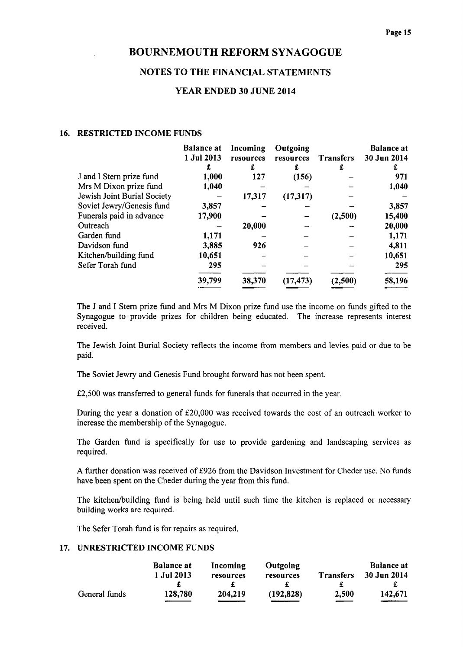## NOTES TO THE FINANCIAL STATEMENTS

#### YEAR ENDED 30 JUNE 2014

#### 16. RESTRICTED INCOME FUNDS

|                             | <b>Balance at</b><br>1 Jul 2013<br>£ | Incoming<br>resources<br>£ | Outgoing<br>resources<br>£ | <b>Transfers</b><br>£ | <b>Balance</b> at<br>30 Jun 2014<br>£ |
|-----------------------------|--------------------------------------|----------------------------|----------------------------|-----------------------|---------------------------------------|
| J and I Stern prize fund    | 1,000                                | 127                        | (156)                      |                       | 971                                   |
| Mrs M Dixon prize fund      | 1,040                                |                            |                            |                       | 1,040                                 |
| Jewish Joint Burial Society |                                      | 17,317                     | (17,317)                   |                       |                                       |
| Soviet Jewry/Genesis fund   | 3,857                                |                            |                            |                       | 3,857                                 |
| Funerals paid in advance    | 17,900                               |                            |                            | (2,500)               | 15,400                                |
| Outreach                    |                                      | 20,000                     |                            |                       | 20,000                                |
| Garden fund                 | 1,171                                |                            |                            |                       | 1,171                                 |
| Davidson fund               | 3,885                                | 926                        |                            |                       | 4,811                                 |
| Kitchen/building fund       | 10,651                               |                            |                            |                       | 10,651                                |
| Sefer Torah fund            | 295                                  |                            |                            |                       | 295                                   |
|                             | 39,799                               | 38,370                     | (17, 473)                  | (2,500)               | 58,196                                |
|                             |                                      |                            |                            |                       |                                       |

The J and I Stern prize fund and Mrs M Dixon prize fund use the income on funds gifted to the Synagogue to provide prizes for children being educated. The increase represents interest received.

The Jewish Joint Burial Society reflects the income from members and levies paid or due to be paid.

The Soviet Jewry and Genesis Fund brought forward has not been spent.

£2,500 was transferred to general funds for funerals that occurred in the year.

During the year a donation of £20,000 was received towards the cost of an outreach worker to increase the membership of the Synagogue.

The Garden fund is specifically for use to provide gardening and landscaping services as required.

A further donation was received of f926 from the Davidson Investment for Cheder use. No funds have been spent on the Cheder during the year from this fund.

The kitchen/building fund is being held until such time the kitchen is replaced or necessary building works are required.

The Sefer Torah fund is for repairs as required.

#### 17. UNRESTRICTED INCOME FUNDS

|               | <b>Balance at</b> | Incoming  | <b>Outgoing</b> |                  | <b>Balance at</b> |
|---------------|-------------------|-----------|-----------------|------------------|-------------------|
|               | 1 Jul 2013        | resources | resources       | <b>Transfers</b> | 30 Jun 2014       |
|               |                   |           |                 |                  |                   |
| General funds | 128,780           | 204,219   | (192, 828)      | 2,500            | 142,671           |